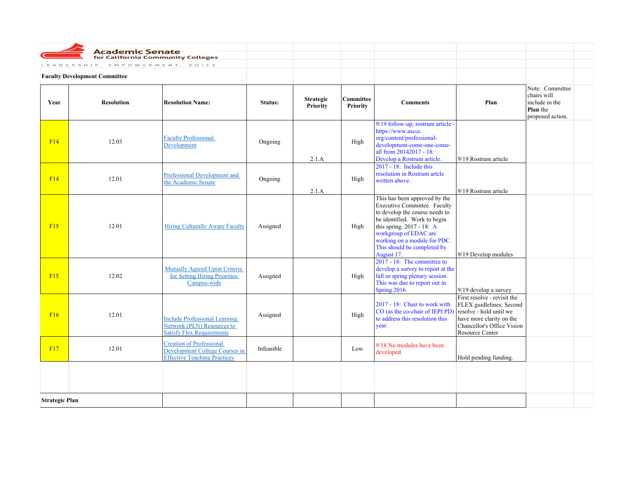|                       | <b>Academic Senate</b><br>for California Community Colleges<br>LEADERSHIP. | EMPOWERMENT. VOICE.                                                                                      |            |                              |                       |                                                                                                                                                                                                                                                                           |                                                                                                                                                                 |                                                                                         |  |
|-----------------------|----------------------------------------------------------------------------|----------------------------------------------------------------------------------------------------------|------------|------------------------------|-----------------------|---------------------------------------------------------------------------------------------------------------------------------------------------------------------------------------------------------------------------------------------------------------------------|-----------------------------------------------------------------------------------------------------------------------------------------------------------------|-----------------------------------------------------------------------------------------|--|
|                       | <b>Faculty Development Committee</b>                                       |                                                                                                          |            |                              |                       |                                                                                                                                                                                                                                                                           |                                                                                                                                                                 |                                                                                         |  |
| Year                  | <b>Resolution</b>                                                          | <b>Resolution Name:</b>                                                                                  | Status:    | <b>Strategic</b><br>Priority | Committee<br>Priority | <b>Comments</b>                                                                                                                                                                                                                                                           | Plan                                                                                                                                                            | Note: Committee<br>chairs will<br>include in the<br><b>Plan</b> the<br>proposed action. |  |
| F14                   | 12.03                                                                      | <b>Faculty Professional</b><br>Development                                                               | Ongoing    | 2.1.A                        | High                  | 9/19 follow-up; rostrum article -<br>https://www.asccc.<br>org/content/professional-<br>development-come-one-come-<br>all from 20142017 - 18:<br>Develop a Rostrum article.                                                                                               | 9/19 Rostrum article                                                                                                                                            |                                                                                         |  |
| F14                   | 12.01                                                                      | <b>Professional Development and</b><br>the Academic Senate                                               | Ongoing    | 2.1.A                        | High                  | $2017 - 18$ : Include this<br>resolution in Rostrum artcle<br>written above.                                                                                                                                                                                              | 9/19 Rostrum article                                                                                                                                            |                                                                                         |  |
| F15                   | 12.01                                                                      | <b>Hiring Culturally Aware Faculty</b>                                                                   | Assigned   |                              | High                  | This has been approved by the<br><b>Executive Committee. Faculty</b><br>to develop the course needs to<br>be identified. Work to begin<br>this spring. 2017 - 18: A<br>workgroup of EDAC are<br>working on a module for PDC.<br>This should be completed by<br>August 17. | 9/19 Develop modules                                                                                                                                            |                                                                                         |  |
| F15                   | 12.02                                                                      | Mutually Agreed Upon Criteria<br>for Setting Hiring Priorities<br>Campus-wide                            | Assigned   |                              | High                  | 2017 - 18: The committee to<br>develop a survey to report at the<br>fall or spring plenary session.<br>This was due to report out in<br><b>Spring 2016.</b>                                                                                                               | 9/19 develop a survey                                                                                                                                           |                                                                                         |  |
| F16                   | 12.01                                                                      | <b>Include Professional Learning</b><br>Network (PLN) Resources to<br><b>Satisfy Flex Requirements</b>   | Assigned   |                              | High                  | 2017 - 18: Chair to work with<br>CO (as the co-chair of IEPI PD)<br>to address this resolution this<br>year.                                                                                                                                                              | First resolve - revisit the<br>FLEX guidlelines; Second<br>resolve - hold until we<br>have more clarity on the<br>Chancellor's Office Vision<br>Resource Center |                                                                                         |  |
| F17                   | 12.01                                                                      | <b>Creation of Professional</b><br>Development College Courses in<br><b>Effective Teaching Practices</b> | Infeasible |                              | Low                   | 9/18 No modules have been<br>developed.                                                                                                                                                                                                                                   | Hold pending funding.                                                                                                                                           |                                                                                         |  |
|                       |                                                                            |                                                                                                          |            |                              |                       |                                                                                                                                                                                                                                                                           |                                                                                                                                                                 |                                                                                         |  |
| <b>Strategic Plan</b> |                                                                            |                                                                                                          |            |                              |                       |                                                                                                                                                                                                                                                                           |                                                                                                                                                                 |                                                                                         |  |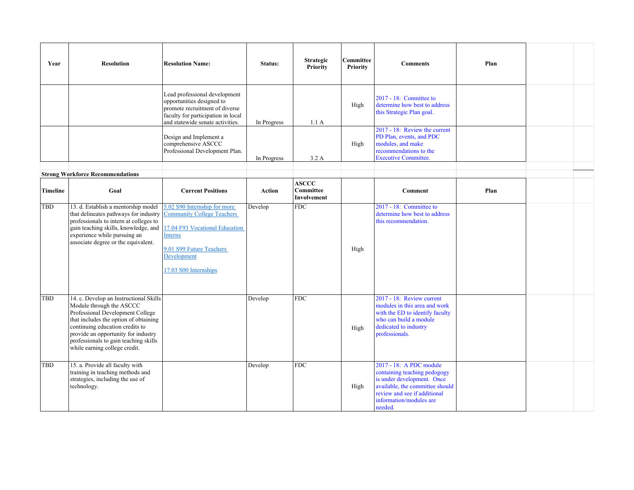| Year            | <b>Resolution</b>                                                                                                                                                                                                                                                                                   | <b>Resolution Name:</b>                                                                                                                                                                   | Status:       | <b>Strategic</b><br>Priority             | Committee<br>Priority | <b>Comments</b>                                                                                                                                                                                | Plan |  |
|-----------------|-----------------------------------------------------------------------------------------------------------------------------------------------------------------------------------------------------------------------------------------------------------------------------------------------------|-------------------------------------------------------------------------------------------------------------------------------------------------------------------------------------------|---------------|------------------------------------------|-----------------------|------------------------------------------------------------------------------------------------------------------------------------------------------------------------------------------------|------|--|
|                 |                                                                                                                                                                                                                                                                                                     | Lead professional development<br>opportunities designed to<br>promote recruitment of diverse<br>faculty for participation in local<br>and statewide senate activities.                    | In Progress   | 1.1A                                     | High                  | 2017 - 18: Conmittee to<br>determine how best to address<br>this Strategic Plan goal.                                                                                                          |      |  |
|                 |                                                                                                                                                                                                                                                                                                     | Design and Implement a<br>comprehensive ASCCC<br>Professional Development Plan.                                                                                                           | In Progress   | 3.2A                                     | High                  | 2017 - 18: Review the current<br>PD Plan, events, and PDC<br>modules, and make<br>recommendations to the<br><b>Executive Committee.</b>                                                        |      |  |
|                 | <b>Strong Workforce Recommendations</b>                                                                                                                                                                                                                                                             |                                                                                                                                                                                           |               |                                          |                       |                                                                                                                                                                                                |      |  |
| <b>Timeline</b> | Goal                                                                                                                                                                                                                                                                                                | <b>Current Positions</b>                                                                                                                                                                  | <b>Action</b> | <b>ASCCC</b><br>Committee<br>Involvement |                       | Comment                                                                                                                                                                                        | Plan |  |
| TBD             | 13. d. Establish a mentorship model<br>that delineates pathways for industry<br>professionals to intern at colleges to<br>gain teaching skills, knowledge, and<br>experience while pursuing an<br>associate degree or the equivalent.                                                               | 5.02 S90 Internship for more<br><b>Community College Teachers</b><br>17.04 F93 Vocational Education<br><b>Interns</b><br>9.01 S99 Future Teachers<br>Development<br>17.03 S00 Internships | Develop       | <b>FDC</b>                               | High                  | 2017 - 18: Committee to<br>determine how best to address<br>this recommendation.                                                                                                               |      |  |
| TBD             | 14. c. Develop an Instructional Skills<br>Module through the ASCCC<br>Professional Development College<br>that includes the option of obtaining<br>continuing education credits to<br>provide an opportunity for industry<br>professionals to gain teaching skills<br>while earning college credit. |                                                                                                                                                                                           | Develop       | <b>FDC</b>                               | High                  | 2017 - 18: Review current<br>modules in this area and work<br>with the ED to identify faculty<br>who can build a module<br>dedicated to industry<br>professionals.                             |      |  |
| <b>TBD</b>      | 15. a. Provide all faculty with<br>training in teaching methods and<br>strategies, including the use of<br>technology.                                                                                                                                                                              |                                                                                                                                                                                           | Develop       | <b>FDC</b>                               | High                  | 2017 - 18: A PDC module<br>containing teaching pedogogy<br>is under development. Once<br>available, the committee should<br>review and see if additional<br>information/modules are<br>needed. |      |  |